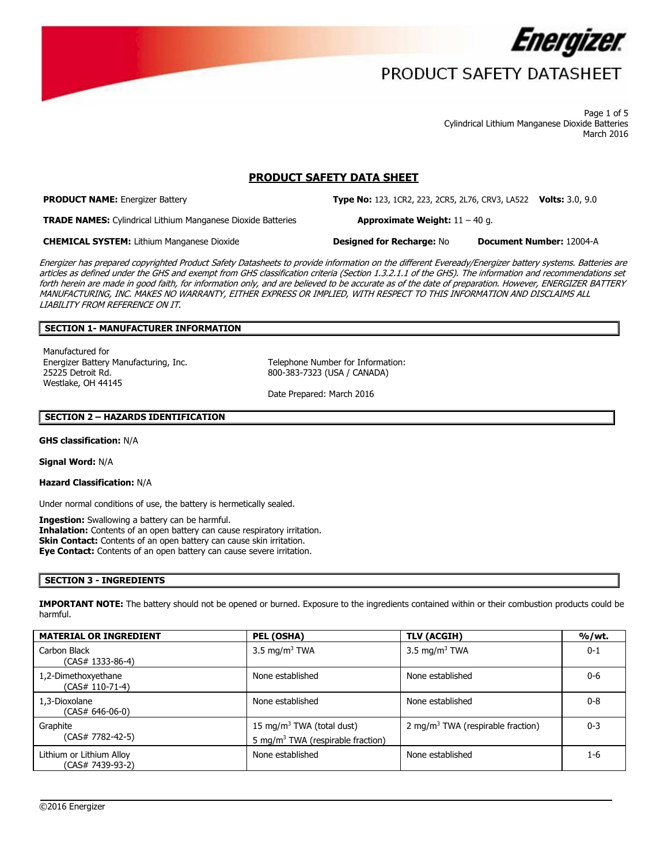

 Page 1 of 5 Cylindrical Lithium Manganese Dioxide Batteries March 2016

## **PRODUCT SAFETY DATA SHEET**

**PRODUCT NAME:** Energizer Battery **Type No:** 123, 1CR2, 223, 2CR5, 2L76, CRV3, LA522 **Volts:** 3.0, 9.0

**TRADE NAMES:** Cylindrical Lithium Manganese Dioxide Batteries **Approximate Weight:** 11 – 40 g.

**CHEMICAL SYSTEM:** Lithium Manganese Dioxide **Designed for Recharge:** No **Document Number:** 12004-A

 Energizer has prepared copyrighted Product Safety Datasheets to provide information on the different Eveready/Energizer battery systems. Batteries are articles as defined under the GHS and exempt from GHS classification criteria (Section 1.3.2.1.1 of the GHS). The information and recommendations set forth herein are made in good faith, for information only, and are believed to be accurate as of the date of preparation. However, ENERGIZER BATTERY

**Designed for Recharge: No** 

 MANUFACTURING, INC. MAKES NO WARRANTY, EITHER EXPRESS OR IMPLIED, WITH RESPECT TO THIS INFORMATION AND DISCLAIMS ALL LIABILITY FROM REFERENCE ON IT.

### **SECTION 1- MANUFACTURER INFORMATION**

Manufactured for Energizer Battery Manufacturing, Inc. 25225 Detroit Rd. Westlake, OH 44145

Telephone Number for Information: 800-383-7323 (USA / CANADA)

Date Prepared: March 2016

### **SECTION 2 – HAZARDS IDENTIFICATION**

**GHS classification:** N/A

**Signal Word:** N/A

**Hazard Classification:** N/A

Under normal conditions of use, the battery is hermetically sealed.

 **Ingestion:** Swallowing a battery can be harmful. **Eye Contact:** Contents of an open battery can cause severe irritation. **Inhalation:** Contents of an open battery can cause respiratory irritation. **Skin Contact:** Contents of an open battery can cause skin irritation.

#### **SECTION 3 - INGREDIENTS**

**IMPORTANT NOTE:** The battery should not be opened or burned. Exposure to the ingredients contained within or their combustion products could be harmful.

| <b>MATERIAL OR INGREDIENT</b>                | PEL (OSHA)                                                                             | TLV (ACGIH)               | %/wt.   |
|----------------------------------------------|----------------------------------------------------------------------------------------|---------------------------|---------|
| Carbon Black<br>$(CAS# 1333-86-4)$           | 3.5 mg/m <sup>3</sup> TWA                                                              | 3.5 mg/m <sup>3</sup> TWA | $0 - 1$ |
| 1,2-Dimethoxyethane<br>(CAS# 110-71-4)       | None established                                                                       | None established          | $0 - 6$ |
| 1,3-Dioxolane<br>(CAS# 646-06-0)             | None established                                                                       | None established          | $0 - 8$ |
| Graphite<br>(CAS# 7782-42-5)                 | 15 mg/m <sup>3</sup> TWA (total dust)<br>5 mg/m <sup>3</sup> TWA (respirable fraction) |                           | $0 - 3$ |
| Lithium or Lithium Alloy<br>(CAS# 7439-93-2) | None established                                                                       | None established          | 1-6     |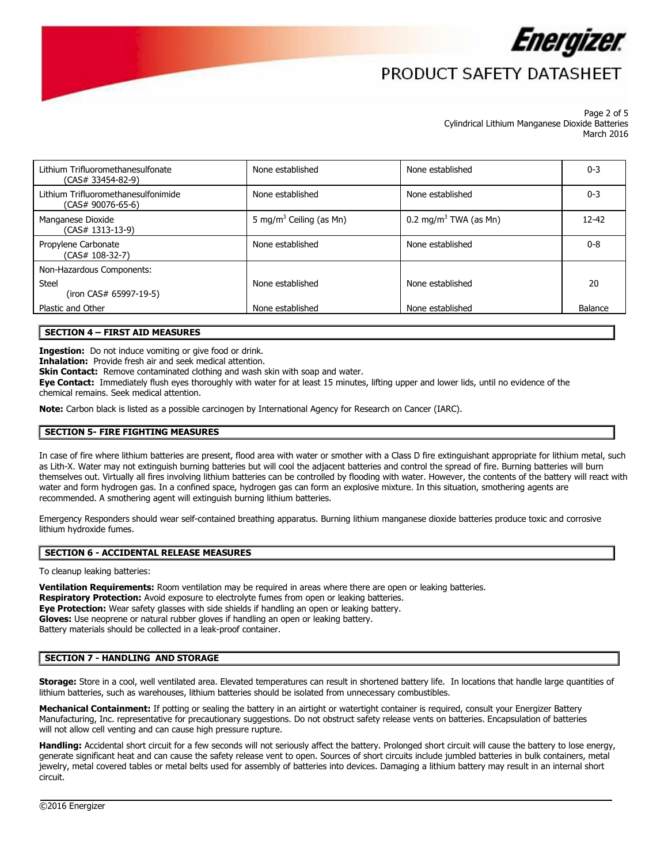

#### Page 2 of 5 Cylindrical Lithium Manganese Dioxide Batteries March 2016

| Lithium Trifluoromethanesulfonate<br>$(CAS# 33454-82-9)$   | None established<br>None established |                                   | $0 - 3$ |
|------------------------------------------------------------|--------------------------------------|-----------------------------------|---------|
| Lithium Trifluoromethanesulfonimide<br>$(CAS# 90076-65-6)$ | None established                     | None established                  | $0 - 3$ |
| Manganese Dioxide<br>(CAS# 1313-13-9)                      | 5 mg/m <sup>3</sup> Ceiling (as Mn)  | 0.2 mg/m <sup>3</sup> TWA (as Mn) | 12-42   |
| Propylene Carbonate<br>(CAS# 108-32-7)                     | None established                     | None established                  | $0 - 8$ |
| Non-Hazardous Components:                                  |                                      |                                   |         |
| Steel<br>(iron CAS# 65997-19-5)                            | None established                     | None established                  | 20      |
| Plastic and Other                                          | None established                     | None established                  | Balance |
|                                                            |                                      |                                   |         |

### **SECTION 4 – FIRST AID MEASURES**

**Ingestion:** Do not induce vomiting or give food or drink.

**Inhalation:** Provide fresh air and seek medical attention.

**Skin Contact:** Remove contaminated clothing and wash skin with soap and water.

**Eye Contact:** Immediately flush eyes thoroughly with water for at least 15 minutes, lifting upper and lower lids, until no evidence of the chemical remains. Seek medical attention.

**Note:** Carbon black is listed as a possible carcinogen by International Agency for Research on Cancer (IARC).

#### **SECTION 5- FIRE FIGHTING MEASURES**

In case of fire where lithium batteries are present, flood area with water or smother with a Class D fire extinguishant appropriate for lithium metal, such as Lith-X. Water may not extinguish burning batteries but will cool the adjacent batteries and control the spread of fire. Burning batteries will burn themselves out. Virtually all fires involving lithium batteries can be controlled by flooding with water. However, the contents of the battery will react with water and form hydrogen gas. In a confined space, hydrogen gas can form an explosive mixture. In this situation, smothering agents are

recommended. A smothering agent will extinguish burning lithium batteries.<br>Emergency Responders should wear self-contained breathing apparatus. Burning lithium manganese dioxide batteries produce toxic and corrosive lithium hydroxide fumes.

#### **SECTION 6 - ACCIDENTAL RELEASE MEASURES**

To cleanup leaking batteries:

 **Eye Protection:** Wear safety glasses with side shields if handling an open or leaking battery. **Ventilation Requirements:** Room ventilation may be required in areas where there are open or leaking batteries. **Respiratory Protection:** Avoid exposure to electrolyte fumes from open or leaking batteries. **Gloves:** Use neoprene or natural rubber gloves if handling an open or leaking battery. Battery materials should be collected in a leak-proof container.

#### **SECTION 7 - HANDLING AND STORAGE**

 **Storage:** Store in a cool, well ventilated area. Elevated temperatures can result in shortened battery life. In locations that handle large quantities of lithium batteries, such as warehouses, lithium batteries should be isolated from unnecessary combustibles.

**Mechanical Containment:** If potting or sealing the battery in an airtight or watertight container is required, consult your Energizer Battery Manufacturing, Inc. representative for precautionary suggestions. Do not obstruct safety release vents on batteries. Encapsulation of batteries will not allow cell venting and can cause high pressure rupture.

 circuit. **Handling:** Accidental short circuit for a few seconds will not seriously affect the battery. Prolonged short circuit will cause the battery to lose energy, generate significant heat and can cause the safety release vent to open. Sources of short circuits include jumbled batteries in bulk containers, metal jewelry, metal covered tables or metal belts used for assembly of batteries into devices. Damaging a lithium battery may result in an internal short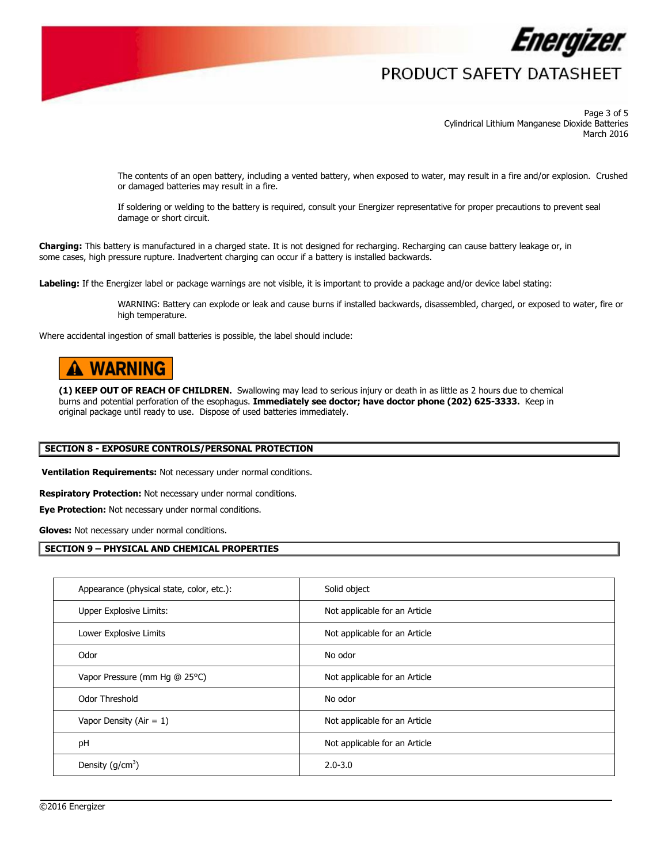

 Page 3 of 5 Cylindrical Lithium Manganese Dioxide Batteries March 2016

or damaged batteries may result in a fire. The contents of an open battery, including a vented battery, when exposed to water, may result in a fire and/or explosion. Crushed

If soldering or welding to the battery is required, consult your Energizer representative for proper precautions to prevent seal damage or short circuit.

**Charging:** This battery is manufactured in a charged state. It is not designed for recharging. Recharging can cause battery leakage or, in some cases, high pressure rupture. Inadvertent charging can occur if a battery is installed backwards.

**Labeling:** If the Energizer label or package warnings are not visible, it is important to provide a package and/or device label stating:

WARNING: Battery can explode or leak and cause burns if installed backwards, disassembled, charged, or exposed to water, fire or

Where accidental ingestion of small batteries is possible, the label should include:

# **A WARNING**

 **(1) KEEP OUT OF REACH OF CHILDREN.** Swallowing may lead to serious injury or death in as little as 2 hours due to chemical  burns and potential perforation of the esophagus. **Immediately see doctor; have doctor phone (202) 625-3333.** Keep in original package until ready to use. Dispose of used batteries immediately.

#### **SECTION 8 - EXPOSURE CONTROLS/PERSONAL PROTECTION**

**Ventilation Requirements:** Not necessary under normal conditions.

**Respiratory Protection:** Not necessary under normal conditions.

**Eye Protection:** Not necessary under normal conditions.

**Gloves:** Not necessary under normal conditions.

#### **SECTION 9 – PHYSICAL AND CHEMICAL PROPERTIES**

| Appearance (physical state, color, etc.): | Solid object                  |
|-------------------------------------------|-------------------------------|
| Upper Explosive Limits:                   | Not applicable for an Article |
| Lower Explosive Limits                    | Not applicable for an Article |
| Odor                                      | No odor                       |
| Vapor Pressure (mm Hg @ 25°C)             | Not applicable for an Article |
| Odor Threshold                            | No odor                       |
| Vapor Density (Air = $1$ )                | Not applicable for an Article |
| pH                                        | Not applicable for an Article |
| Density $(g/cm^3)$                        | $2.0 - 3.0$                   |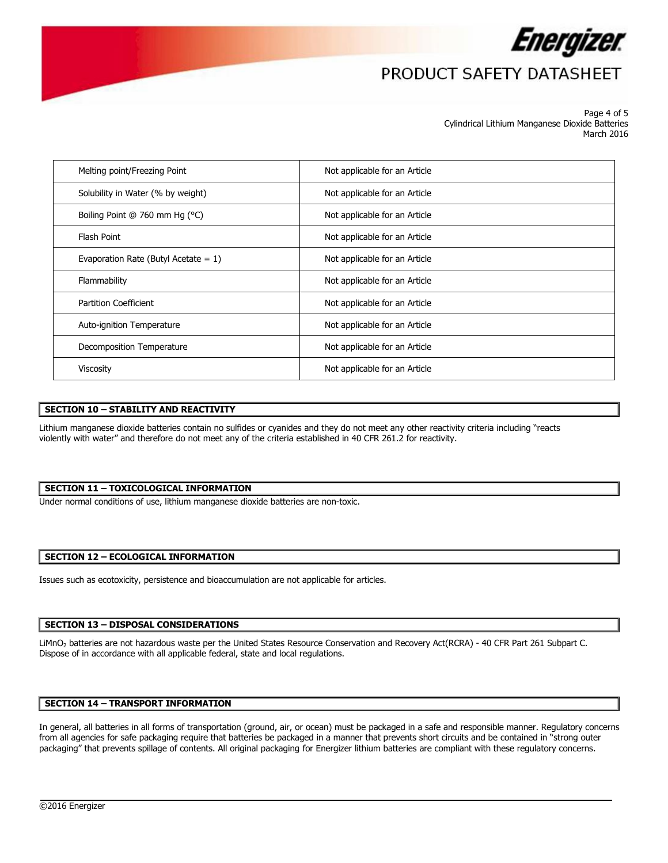

 Page 4 of 5 Cylindrical Lithium Manganese Dioxide Batteries March 2016

| Melting point/Freezing Point            | Not applicable for an Article |
|-----------------------------------------|-------------------------------|
| Solubility in Water (% by weight)       | Not applicable for an Article |
| Boiling Point @ 760 mm Hg (°C)          | Not applicable for an Article |
| Flash Point                             | Not applicable for an Article |
| Evaporation Rate (Butyl Acetate = $1$ ) | Not applicable for an Article |
| Flammability                            | Not applicable for an Article |
| <b>Partition Coefficient</b>            | Not applicable for an Article |
| Auto-ignition Temperature               | Not applicable for an Article |
| Decomposition Temperature               | Not applicable for an Article |
| <b>Viscosity</b>                        | Not applicable for an Article |

### **SECTION 10 – STABILITY AND REACTIVITY**

 violently with water" and therefore do not meet any of the criteria established in 40 CFR 261.2 for reactivity. Lithium manganese dioxide batteries contain no sulfides or cyanides and they do not meet any other reactivity criteria including "reacts

#### **SECTION 11 – TOXICOLOGICAL INFORMATION**

Under normal conditions of use, lithium manganese dioxide batteries are non-toxic.

### **SECTION 12 – ECOLOGICAL INFORMATION**

Issues such as ecotoxicity, persistence and bioaccumulation are not applicable for articles.

### **SECTION 13 – DISPOSAL CONSIDERATIONS**

LiMnO<sub>2</sub> batteries are not hazardous waste per the United States Resource Conservation and Recovery Act(RCRA) - 40 CFR Part 261 Subpart C. Dispose of in accordance with all applicable federal, state and local regulations.

### **SECTION 14 – TRANSPORT INFORMATION**

In general, all batteries in all forms of transportation (ground, air, or ocean) must be packaged in a safe and responsible manner. Regulatory concerns from all agencies for safe packaging require that batteries be packaged in a manner that prevents short circuits and be contained in "strong outer packaging" that prevents spillage of contents. All original packaging for Energizer lithium batteries are compliant with these regulatory concerns.